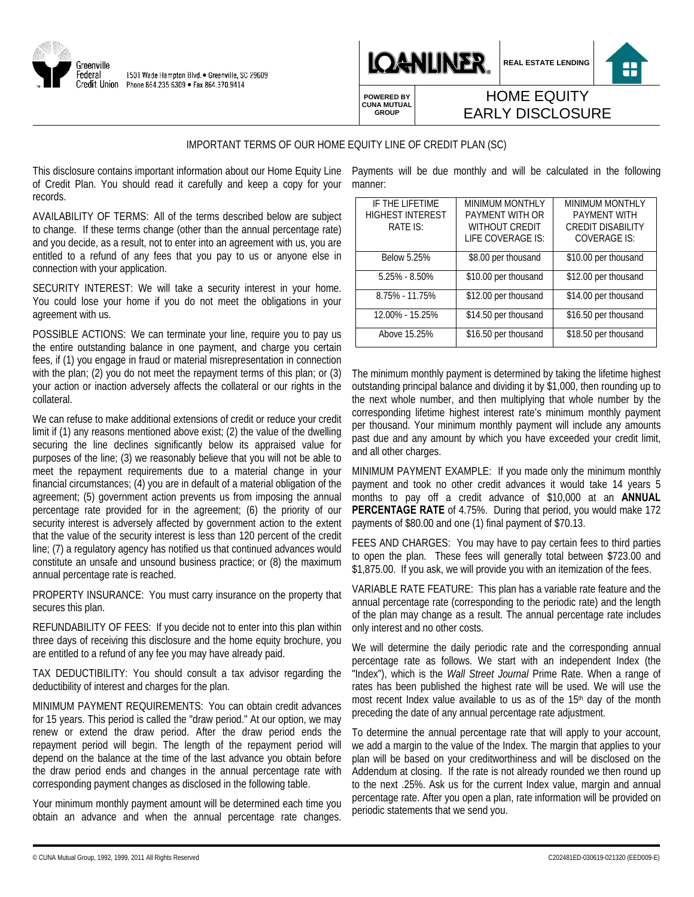



**REAL ESTATE LENDING**

**POWERED BY CUNA MUTUAL GROUP**

## HOME EQUITY EARLY DISCLOSURE

## IMPORTANT TERMS OF OUR HOME EQUITY LINE OF CREDIT PLAN (SC)

This disclosure contains important information about our Home Equity Line Payments will be due monthly and will be calculated in the following of Credit Plan. You should read it carefully and keep a copy for your records.

AVAILABILITY OF TERMS: All of the terms described below are subject to change. If these terms change (other than the annual percentage rate) and you decide, as a result, not to enter into an agreement with us, you are entitled to a refund of any fees that you pay to us or anyone else in connection with your application.

SECURITY INTEREST: We will take a security interest in your home. You could lose your home if you do not meet the obligations in your agreement with us.

POSSIBLE ACTIONS: We can terminate your line, require you to pay us the entire outstanding balance in one payment, and charge you certain fees, if (1) you engage in fraud or material misrepresentation in connection with the plan; (2) you do not meet the repayment terms of this plan; or (3) your action or inaction adversely affects the collateral or our rights in the collateral.

We can refuse to make additional extensions of credit or reduce your credit limit if (1) any reasons mentioned above exist; (2) the value of the dwelling securing the line declines significantly below its appraised value for purposes of the line; (3) we reasonably believe that you will not be able to meet the repayment requirements due to a material change in your financial circumstances; (4) you are in default of a material obligation of the agreement; (5) government action prevents us from imposing the annual percentage rate provided for in the agreement; (6) the priority of our security interest is adversely affected by government action to the extent that the value of the security interest is less than 120 percent of the credit line; (7) a regulatory agency has notified us that continued advances would constitute an unsafe and unsound business practice; or (8) the maximum annual percentage rate is reached.

PROPERTY INSURANCE: You must carry insurance on the property that secures this plan.

REFUNDABILITY OF FEES: If you decide not to enter into this plan within three days of receiving this disclosure and the home equity brochure, you are entitled to a refund of any fee you may have already paid.

TAX DEDUCTIBILITY: You should consult a tax advisor regarding the deductibility of interest and charges for the plan.

MINIMUM PAYMENT REQUIREMENTS: You can obtain credit advances for 15 years. This period is called the "draw period." At our option, we may renew or extend the draw period. After the draw period ends the repayment period will begin. The length of the repayment period will depend on the balance at the time of the last advance you obtain before the draw period ends and changes in the annual percentage rate with corresponding payment changes as disclosed in the following table.

Your minimum monthly payment amount will be determined each time you obtain an advance and when the annual percentage rate changes.

manner:

| IF THE LIFETIME<br><b>HIGHEST INTEREST</b><br>RATE IS: | <b>MINIMUM MONTHLY</b><br>PAYMENT WITH OR<br><b>WITHOUT CREDIT</b><br>LIFE COVERAGE IS: | <b>MINIMUM MONTHLY</b><br><b>PAYMENT WITH</b><br><b>CREDIT DISABILITY</b><br><b>COVERAGE IS:</b> |
|--------------------------------------------------------|-----------------------------------------------------------------------------------------|--------------------------------------------------------------------------------------------------|
| <b>Below 5.25%</b>                                     | \$8.00 per thousand                                                                     | \$10.00 per thousand                                                                             |
| $5.25\% - 8.50\%$                                      | \$10.00 per thousand                                                                    | \$12.00 per thousand                                                                             |
| 8.75% - 11.75%                                         | \$12.00 per thousand                                                                    | \$14.00 per thousand                                                                             |
| 12.00% - 15.25%                                        | \$14.50 per thousand                                                                    | \$16.50 per thousand                                                                             |
| Above 15.25%                                           | \$16.50 per thousand                                                                    | \$18.50 per thousand                                                                             |

The minimum monthly payment is determined by taking the lifetime highest outstanding principal balance and dividing it by \$1,000, then rounding up to the next whole number, and then multiplying that whole number by the corresponding lifetime highest interest rate's minimum monthly payment per thousand. Your minimum monthly payment will include any amounts past due and any amount by which you have exceeded your credit limit, and all other charges.

MINIMUM PAYMENT EXAMPLE: If you made only the minimum monthly payment and took no other credit advances it would take 14 years 5 months to pay off a credit advance of \$10,000 at an **ANNUAL PERCENTAGE RATE** of 4.75%. During that period, you would make 172 payments of \$80.00 and one (1) final payment of \$70.13.

FEES AND CHARGES: You may have to pay certain fees to third parties to open the plan. These fees will generally total between \$723.00 and \$1,875.00. If you ask, we will provide you with an itemization of the fees.

VARIABLE RATE FEATURE: This plan has a variable rate feature and the annual percentage rate (corresponding to the periodic rate) and the length of the plan may change as a result. The annual percentage rate includes only interest and no other costs.

We will determine the daily periodic rate and the corresponding annual percentage rate as follows. We start with an independent Index (the "Index"), which is the *Wall Street Journal* Prime Rate. When a range of rates has been published the highest rate will be used. We will use the most recent Index value available to us as of the 15<sup>th</sup> day of the month preceding the date of any annual percentage rate adjustment.

To determine the annual percentage rate that will apply to your account, we add a margin to the value of the Index. The margin that applies to your plan will be based on your creditworthiness and will be disclosed on the Addendum at closing. If the rate is not already rounded we then round up to the next .25%. Ask us for the current Index value, margin and annual percentage rate. After you open a plan, rate information will be provided on periodic statements that we send you.